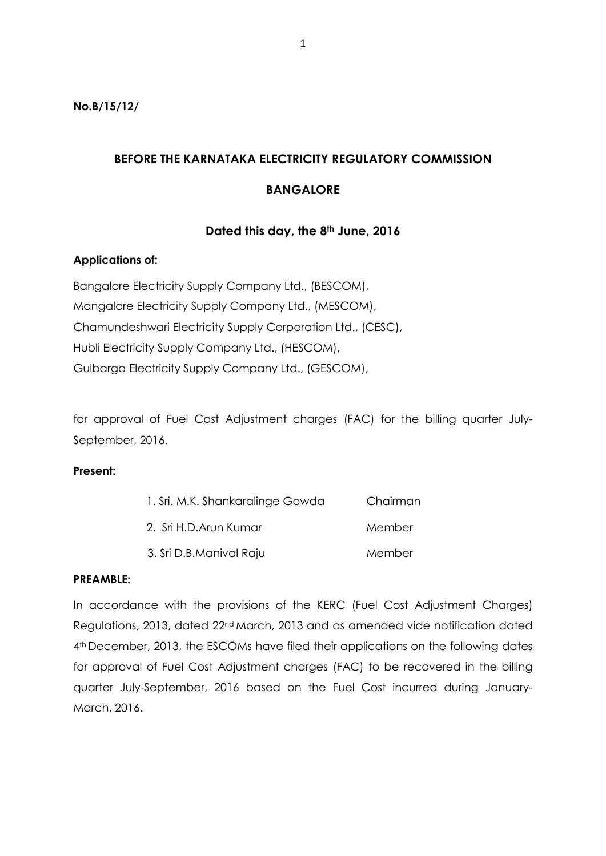**No.B/15/12/**

# **BEFORE THE KARNATAKA ELECTRICITY REGULATORY COMMISSION**

## **BANGALORE**

# **Dated this day, the 8th June, 2016**

### **Applications of:**

Bangalore Electricity Supply Company Ltd., (BESCOM), Mangalore Electricity Supply Company Ltd., (MESCOM), Chamundeshwari Electricity Supply Corporation Ltd., (CESC), Hubli Electricity Supply Company Ltd., (HESCOM), Gulbarga Electricity Supply Company Ltd., (GESCOM),

for approval of Fuel Cost Adjustment charges (FAC) for the billing quarter July-September, 2016.

### **Present:**

| 1. Sri. M.K. Shankaralinge Gowda | Chairman |
|----------------------------------|----------|
| 2. Sri H.D.Arun Kumar            | Member   |
| 3. Sri D.B.Manival Raju          | Member   |

### **PREAMBLE:**

In accordance with the provisions of the KERC (Fuel Cost Adjustment Charges) Regulations, 2013, dated 22nd March, 2013 and as amended vide notification dated 4<sup>th</sup> December, 2013, the ESCOMs have filed their applications on the following dates for approval of Fuel Cost Adjustment charges (FAC) to be recovered in the billing quarter July-September, 2016 based on the Fuel Cost incurred during January-March, 2016.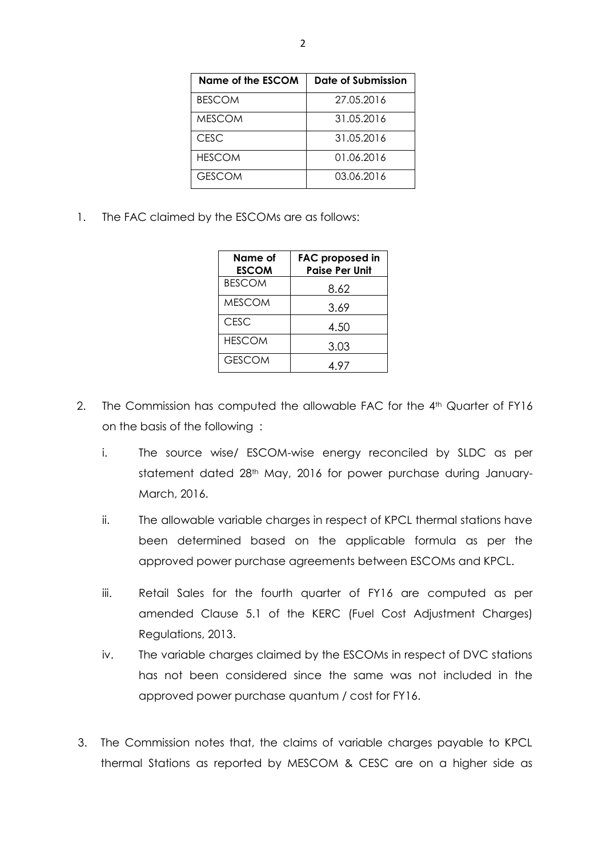| Name of the ESCOM | Date of Submission |
|-------------------|--------------------|
| <b>BESCOM</b>     | 27.05.2016         |
| <b>MESCOM</b>     | 31.05.2016         |
| <b>CESC</b>       | 31.05.2016         |
| <b>HESCOM</b>     | 01.06.2016         |
| <b>GESCOM</b>     | 03.06.2016         |

1. The FAC claimed by the ESCOMs are as follows:

| Name of<br><b>ESCOM</b> | <b>FAC proposed in</b><br><b>Paise Per Unit</b> |
|-------------------------|-------------------------------------------------|
| <b>BESCOM</b>           | 8.62                                            |
| <b>MESCOM</b>           | 3.69                                            |
| <b>CESC</b>             | 4.50                                            |
| <b>HESCOM</b>           | 3.03                                            |
| <b>GESCOM</b>           | 4.97                                            |

- 2. The Commission has computed the allowable FAC for the 4<sup>th</sup> Quarter of FY16 on the basis of the following :
	- i. The source wise/ ESCOM-wise energy reconciled by SLDC as per statement dated 28<sup>th</sup> May, 2016 for power purchase during January-March, 2016.
	- ii. The allowable variable charges in respect of KPCL thermal stations have been determined based on the applicable formula as per the approved power purchase agreements between ESCOMs and KPCL.
	- iii. Retail Sales for the fourth quarter of FY16 are computed as per amended Clause 5.1 of the KERC (Fuel Cost Adjustment Charges) Regulations, 2013.
	- iv. The variable charges claimed by the ESCOMs in respect of DVC stations has not been considered since the same was not included in the approved power purchase quantum / cost for FY16.
- 3. The Commission notes that, the claims of variable charges payable to KPCL thermal Stations as reported by MESCOM & CESC are on a higher side as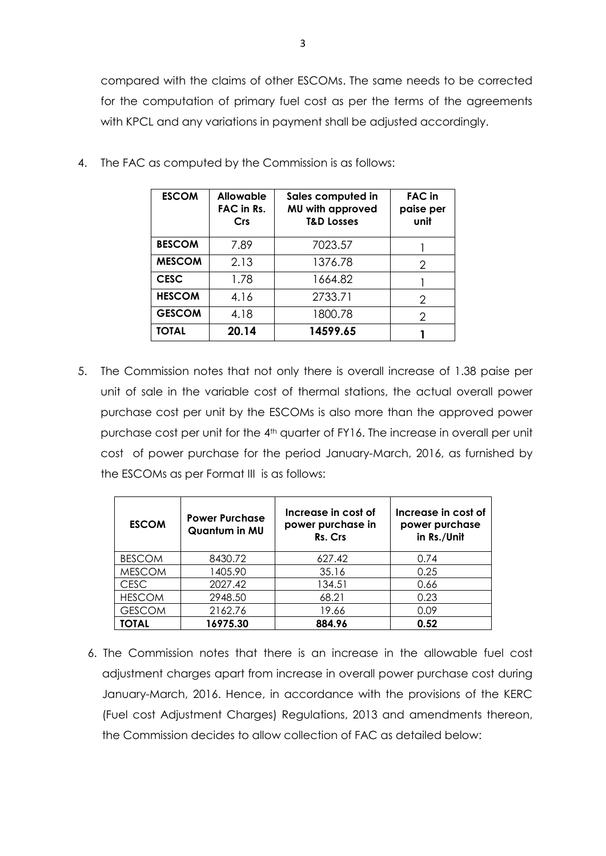compared with the claims of other ESCOMs. The same needs to be corrected for the computation of primary fuel cost as per the terms of the agreements with KPCL and any variations in payment shall be adjusted accordingly.

| <b>ESCOM</b>  | <b>Allowable</b><br>FAC in Rs.<br><b>Crs</b> | Sales computed in<br>MU with approved<br><b>T&amp;D Losses</b> | <b>FAC</b> in<br>paise per<br>unit |
|---------------|----------------------------------------------|----------------------------------------------------------------|------------------------------------|
| <b>BESCOM</b> | 7.89                                         | 7023.57                                                        |                                    |
| <b>MESCOM</b> | 2.13                                         | 1376.78                                                        | 2                                  |
| <b>CESC</b>   | 1.78                                         | 1664.82                                                        |                                    |
| <b>HESCOM</b> | 4.16                                         | 2733.71                                                        | $\mathcal{P}$                      |
| <b>GESCOM</b> | 4.18                                         | 1800.78                                                        | 2                                  |
| <b>TOTAL</b>  | 20.14                                        | 14599.65                                                       |                                    |

4. The FAC as computed by the Commission is as follows:

5. The Commission notes that not only there is overall increase of 1.38 paise per unit of sale in the variable cost of thermal stations, the actual overall power purchase cost per unit by the ESCOMs is also more than the approved power purchase cost per unit for the 4<sup>th</sup> quarter of FY16. The increase in overall per unit cost of power purchase for the period January-March, 2016, as furnished by the ESCOMs as per Format III is as follows:

| <b>ESCOM</b>  | <b>Power Purchase</b><br>Quantum in MU | Increase in cost of<br>power purchase in<br>Rs. Crs | Increase in cost of<br>power purchase<br>in Rs./Unit |
|---------------|----------------------------------------|-----------------------------------------------------|------------------------------------------------------|
| <b>BESCOM</b> | 8430.72                                | 627.42                                              | 0.74                                                 |
| <b>MESCOM</b> | 1405.90                                | 35.16                                               | 0.25                                                 |
| <b>CESC</b>   | 2027.42                                | 134.51                                              | 0.66                                                 |
| <b>HESCOM</b> | 2948.50                                | 68.21                                               | 0.23                                                 |
| <b>GESCOM</b> | 2162.76                                | 19.66                                               | 0.09                                                 |
| TOTAL         | 16975.30                               | 884.96                                              | 0.52                                                 |

6. The Commission notes that there is an increase in the allowable fuel cost adjustment charges apart from increase in overall power purchase cost during January-March, 2016. Hence, in accordance with the provisions of the KERC (Fuel cost Adjustment Charges) Regulations, 2013 and amendments thereon, the Commission decides to allow collection of FAC as detailed below: